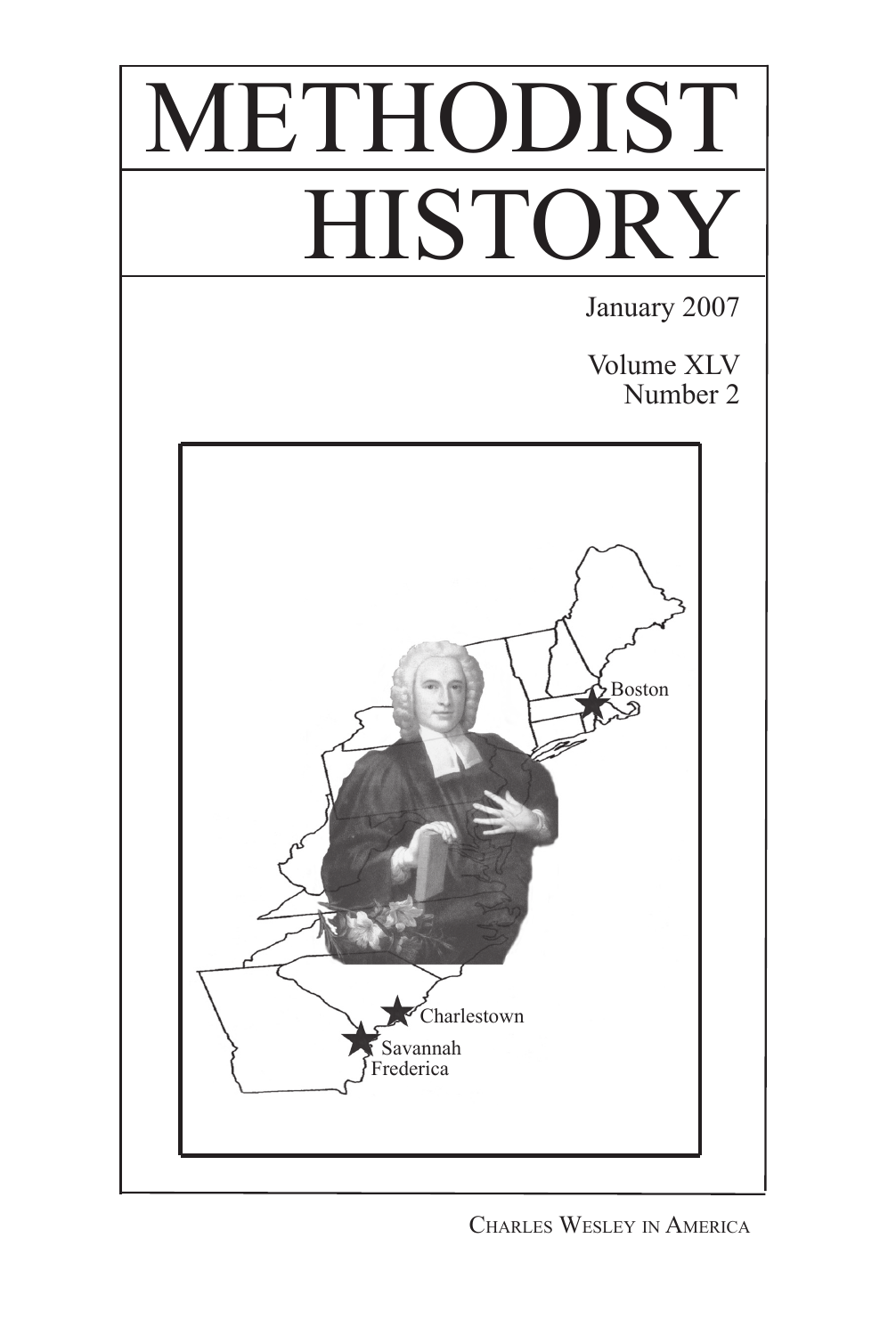

Charles Wesley in America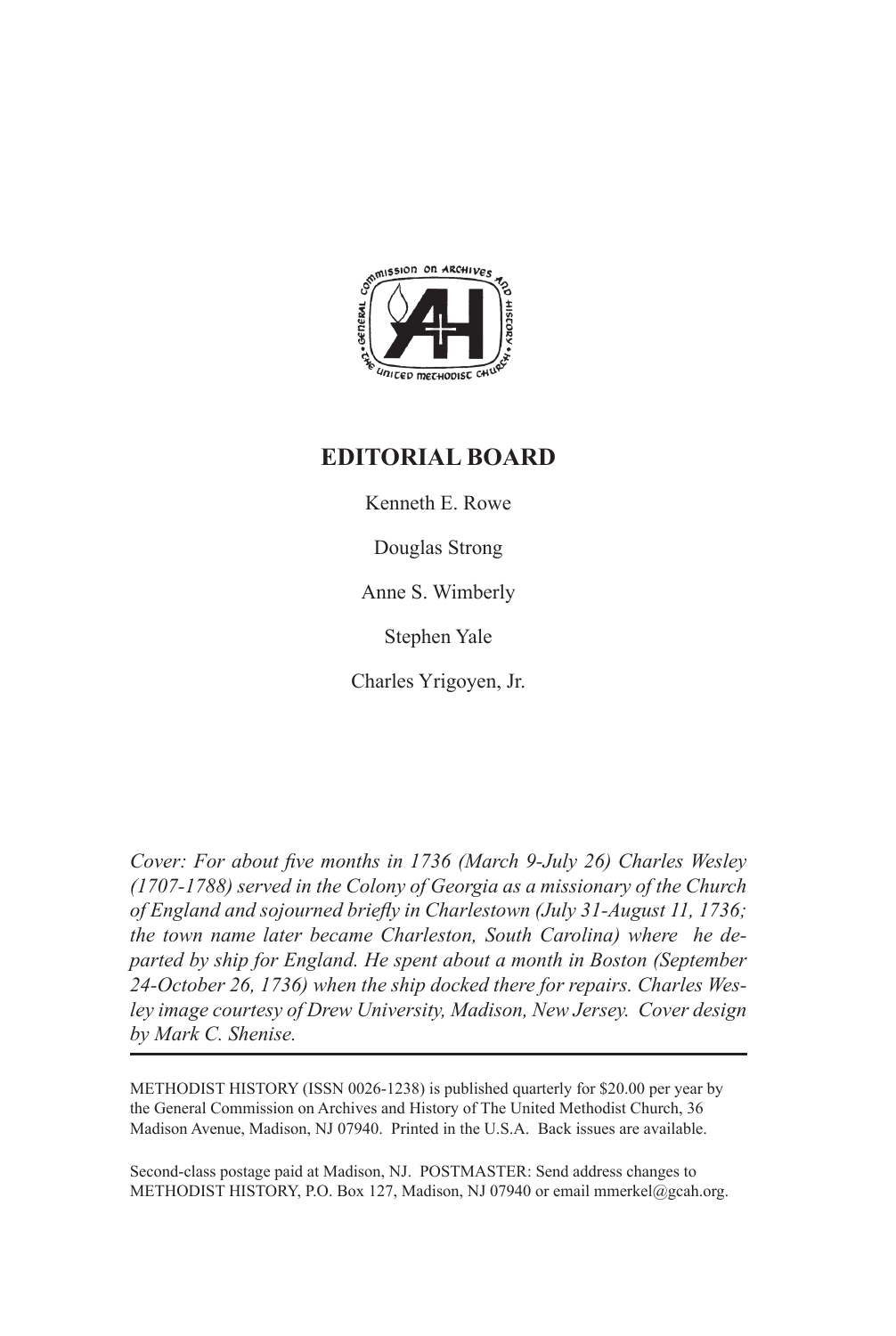

## **EDITORIAL BOARD**

Kenneth E. Rowe

Douglas Strong

Anne S. Wimberly

Stephen Yale

Charles Yrigoyen, Jr.

*Cover: For about five months in 1736 (March 9-July 26) Charles Wesley (1707-1788) served in the Colony of Georgia as a missionary of the Church of England and sojourned briefly in Charlestown (July 31-August 11, 1736; the town name later became Charleston, South Carolina) where he departed by ship for England. He spent about a month in Boston (September 24-October 26, 1736) when the ship docked there for repairs. Charles Wesley image courtesy of Drew University, Madison, New Jersey. Cover design by Mark C. Shenise.* 

METHODIST HISTORY (ISSN 0026-1238) is published quarterly for \$20.00 per year by the General Commission on Archives and History of The United Methodist Church, 36 Madison Avenue, Madison, NJ 07940. Printed in the U.S.A. Back issues are available.

Second-class postage paid at Madison, NJ. POSTMASTER: Send address changes to METHODIST HISTORY, P.O. Box 127, Madison, NJ 07940 or email mmerkel@gcah.org.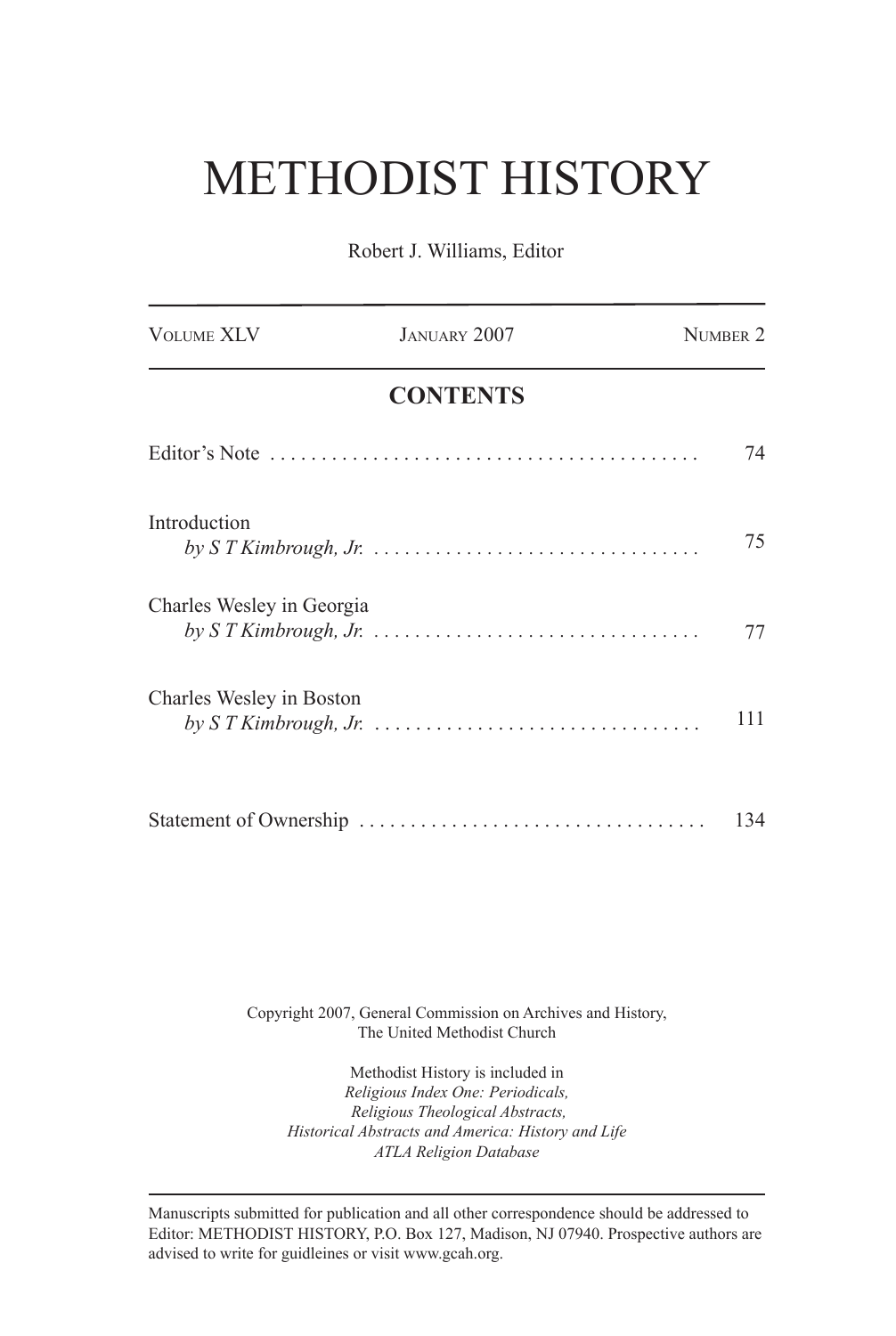## METHODIST HISTORY

Robert J. Williams, Editor

| <b>VOLUME XLV</b>         | JANUARY 2007    | NUMBER 2 |
|---------------------------|-----------------|----------|
|                           | <b>CONTENTS</b> |          |
|                           |                 | 74       |
| Introduction              |                 | 75       |
| Charles Wesley in Georgia |                 | 77       |
| Charles Wesley in Boston  |                 | 111      |
|                           |                 | 134      |

Copyright 2007, General Commission on Archives and History, The United Methodist Church

Methodist History is included in *Religious Index One: Periodicals, Religious Theological Abstracts, Historical Abstracts and America: History and Life ATLA Religion Database*

Manuscripts submitted for publication and all other correspondence should be addressed to Editor: METHODIST HISTORY, P.O. Box 127, Madison, NJ 07940. Prospective authors are advised to write for guidleines or visit www.gcah.org.